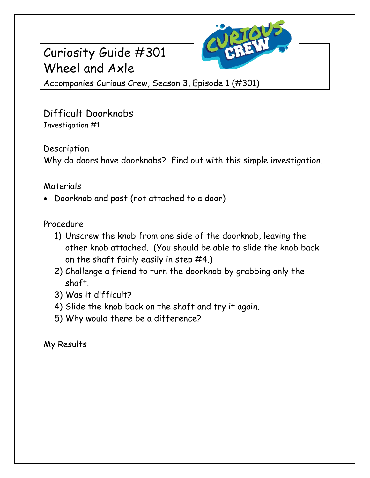## Curiosity Guide #301 Wheel and Axle



Accompanies Curious Crew, Season 3, Episode 1 (#301)

Difficult Doorknobs Investigation #1

Description

Why do doors have doorknobs? Find out with this simple investigation.

## Materials

Doorknob and post (not attached to a door)

## Procedure

- 1) Unscrew the knob from one side of the doorknob, leaving the other knob attached. (You should be able to slide the knob back on the shaft fairly easily in step #4.)
- 2) Challenge a friend to turn the doorknob by grabbing only the shaft.
- 3) Was it difficult?
- 4) Slide the knob back on the shaft and try it again.
- 5) Why would there be a difference?

My Results